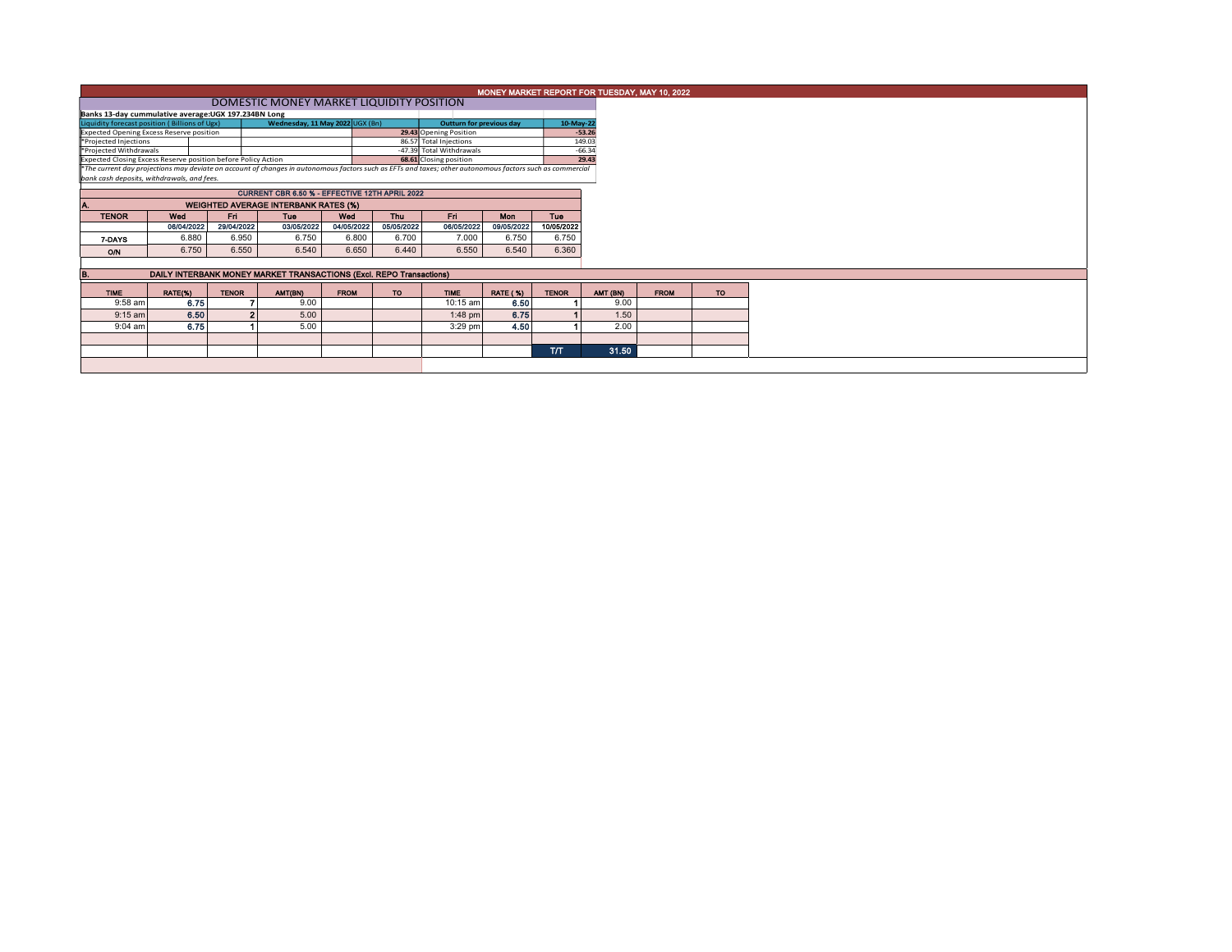|                                                               | MONEY MARKET REPORT FOR TUESDAY, MAY 10, 2022                       |              |                                                                                                                                                          |             |                          |                          |                 |              |          |          |             |  |  |  |
|---------------------------------------------------------------|---------------------------------------------------------------------|--------------|----------------------------------------------------------------------------------------------------------------------------------------------------------|-------------|--------------------------|--------------------------|-----------------|--------------|----------|----------|-------------|--|--|--|
|                                                               | DOMESTIC MONEY MARKET LIQUIDITY POSITION                            |              |                                                                                                                                                          |             |                          |                          |                 |              |          |          |             |  |  |  |
|                                                               | Banks 13-day cummulative average:UGX 197.234BN Long                 |              |                                                                                                                                                          |             |                          |                          |                 |              |          |          |             |  |  |  |
| Liquidity forecast position (Billions of Ugx)                 |                                                                     |              | Wednesday, 11 May 2022 UGX (Bn)                                                                                                                          |             | Outturn for previous day |                          | 10-May-22       |              |          |          |             |  |  |  |
| <b>Expected Opening Excess Reserve position</b>               |                                                                     |              |                                                                                                                                                          |             |                          | 29.43 Opening Position   |                 |              | $-53.26$ |          |             |  |  |  |
| *Projected Injections                                         |                                                                     |              |                                                                                                                                                          |             |                          | 86.57 Total Injections   |                 |              | 149.03   |          |             |  |  |  |
| *Projected Withdrawals                                        |                                                                     |              |                                                                                                                                                          |             |                          | -47.39 Total Withdrawals |                 |              | $-66.34$ |          |             |  |  |  |
| Expected Closing Excess Reserve position before Policy Action |                                                                     |              |                                                                                                                                                          |             |                          | 68.61 Closing position   |                 |              | 29.43    |          |             |  |  |  |
|                                                               |                                                                     |              | *The current day projections may deviate on account of changes in autonomous factors such as EFTs and taxes; other autonomous factors such as commercial |             |                          |                          |                 |              |          |          |             |  |  |  |
| bank cash deposits, withdrawals, and fees.                    |                                                                     |              |                                                                                                                                                          |             |                          |                          |                 |              |          |          |             |  |  |  |
|                                                               |                                                                     |              |                                                                                                                                                          |             |                          |                          |                 |              |          |          |             |  |  |  |
|                                                               | <b>WEIGHTED AVERAGE INTERBANK RATES (%)</b>                         |              |                                                                                                                                                          |             |                          |                          |                 |              |          |          |             |  |  |  |
| <b>TENOR</b>                                                  | Wed                                                                 | Fri.         | Tue                                                                                                                                                      | Wed         | <b>Thu</b>               | Fri.                     | <b>Mon</b>      | <b>Tue</b>   |          |          |             |  |  |  |
|                                                               | 06/04/2022                                                          | 29/04/2022   | 03/05/2022                                                                                                                                               | 04/05/2022  | 05/05/2022               | 06/05/2022               | 09/05/2022      | 10/05/2022   |          |          |             |  |  |  |
| 7-DAYS                                                        | 6.880                                                               | 6.950        | 6.750                                                                                                                                                    | 6.800       | 6.700                    | 7.000                    | 6.750           | 6.750        |          |          |             |  |  |  |
|                                                               | 6.750                                                               | 6.550        | 6.540                                                                                                                                                    | 6.650       | 6.440                    | 6.550                    | 6.540           | 6.360        |          |          |             |  |  |  |
| O/N                                                           |                                                                     |              |                                                                                                                                                          |             |                          |                          |                 |              |          |          |             |  |  |  |
|                                                               |                                                                     |              |                                                                                                                                                          |             |                          |                          |                 |              |          |          |             |  |  |  |
| в.                                                            | DAILY INTERBANK MONEY MARKET TRANSACTIONS (Excl. REPO Transactions) |              |                                                                                                                                                          |             |                          |                          |                 |              |          |          |             |  |  |  |
| <b>TIME</b>                                                   | RATE(%)                                                             | <b>TENOR</b> | AMT(BN)                                                                                                                                                  | <b>FROM</b> | <b>TO</b>                | <b>TIME</b>              | <b>RATE (%)</b> | <b>TENOR</b> |          | AMT (BN) | <b>FROM</b> |  |  |  |
| 9:58 am                                                       | 6.75                                                                |              | 9.00                                                                                                                                                     |             |                          | 10:15 am                 | 6.50            |              |          | 9.00     |             |  |  |  |
| $9:15$ am                                                     | 6.50                                                                |              | 5.00                                                                                                                                                     |             |                          | $1:48$ pm                | 6.75            |              |          | 1.50     |             |  |  |  |
| 9:04 am                                                       | 6.75                                                                |              | 5.00                                                                                                                                                     |             |                          | $3:29$ pm                | 4.50            |              |          | 2.00     |             |  |  |  |
|                                                               |                                                                     |              |                                                                                                                                                          |             |                          |                          |                 |              |          |          |             |  |  |  |
|                                                               |                                                                     |              |                                                                                                                                                          |             |                          |                          |                 |              |          | 31.50    |             |  |  |  |
|                                                               |                                                                     |              |                                                                                                                                                          |             |                          |                          |                 | <b>T/T</b>   |          |          |             |  |  |  |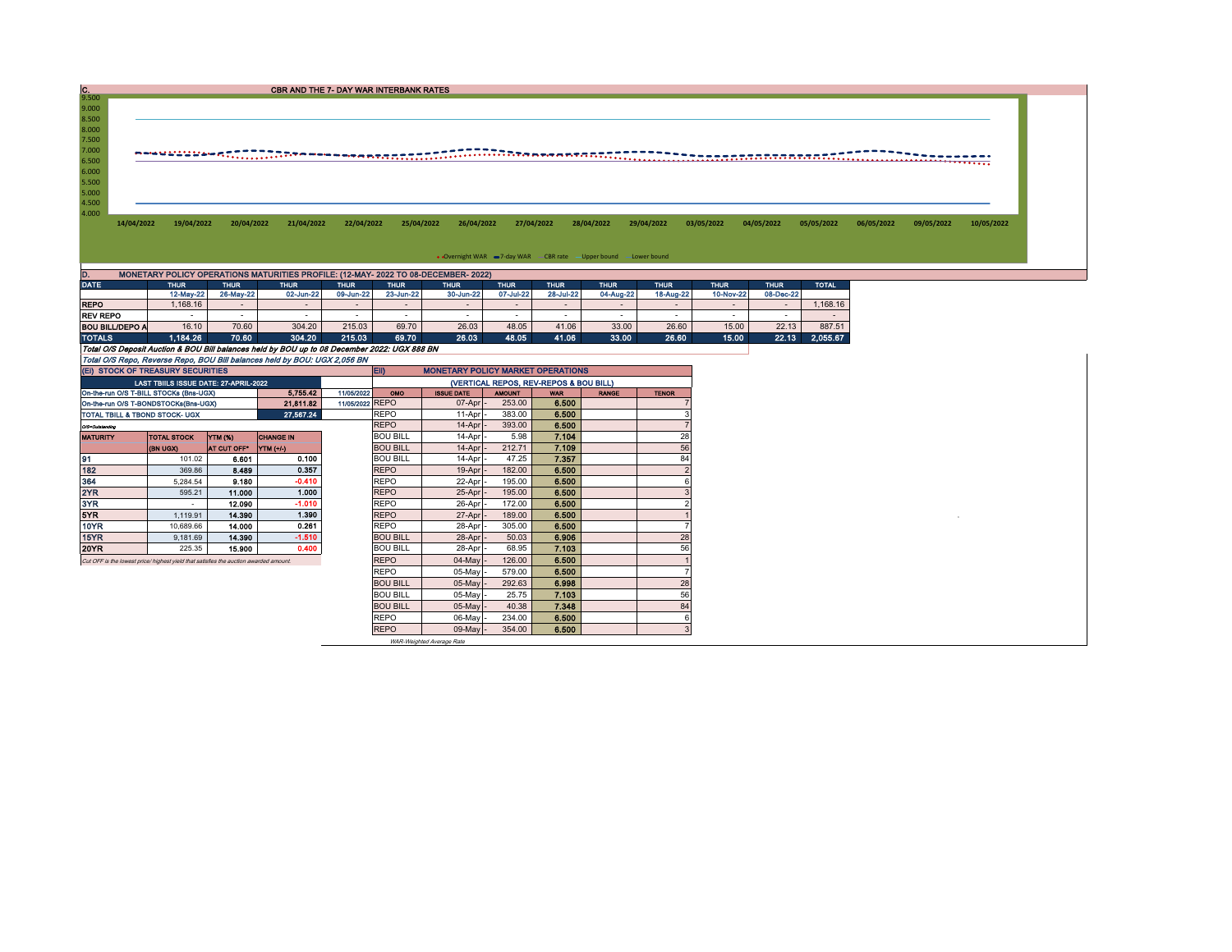| IC.<br><b>CBR AND THE 7- DAY WAR INTERBANK RATES</b><br>9.500<br>9.000<br>8.500<br>8.000<br>7.500<br>7.000<br>6.500<br>6.000<br>5.500<br>5.000<br>4.500<br>4.000<br>14/04/2022<br>19/04/2022<br>20/04/2022<br>21/04/2022<br>22/04/2022<br>25/04/2022<br>26/04/2022<br>27/04/2022<br>28/04/2022<br>29/04/2022<br>03/05/2022<br>04/05/2022<br>05/05/2022<br>06/05/2022<br>09/05/2022<br>• Overnight WAR = 7-day WAR - CBR rate - Upper bound - Lower bound<br>MONETARY POLICY OPERATIONS MATURITIES PROFILE: (12-MAY- 2022 TO 08-DECEMBER- 2022)<br>D.<br><b>DATE</b><br><b>THUR</b><br><b>THUR</b><br><b>THUR</b><br><b>THUR</b><br><b>THUR</b><br><b>THUR</b><br><b>THUR</b><br><b>THUR</b><br><b>THUR</b><br><b>THUR</b><br><b>THUR</b><br><b>THUR</b><br><b>TOTAL</b><br>07-Jul-22<br>04-Aug-22<br>12-May-22<br>26-May-22<br>09-Jun-22<br>23-Jun-22<br>30-Jun-22<br>28-Jul-22<br>18-Aug-22<br>10-Nov-22<br>08-Dec-22<br>02-Jun-22<br><b>REPO</b><br>1,168.16<br>1,168.16<br>$\sim$<br>$\sim$<br>$\sim$<br>$\sim$<br>$\sim$<br>$\sim$<br>$\sim$<br>$\sim$<br>$\sim$<br>$\sim$<br>$\sim$<br><b>REV REPO</b><br>$\sim$<br>$\sim$<br>$\sim$<br>$\sim$<br>$\sim$<br>$\sim$<br>$\sim$<br>$\sim$<br>$\sim$<br>$\sim$<br>$\sim$<br>$\sim$<br>$\sim$<br>16.10<br>70.60<br>304.20<br>215.03<br>69.70<br>26.03<br>48.05<br>41.06<br>33.00<br>26.60<br>15.00<br>22.13<br>887.51<br><b>BOU BILL/DEPO A</b><br><b>TOTALS</b><br>1.184.26<br>70.60<br>304.20<br>215.03<br>69.70<br>26.03<br>48.05<br>41.06<br>33.00<br>26.60<br>15.00<br>22.13<br>2,055.67<br>Total O/S Deposit Auction & BOU Bill balances held by BOU up to 08 December 2022: UGX 888 BN<br>Total O/S Repo, Reverse Repo, BOU Bill balances held by BOU: UGX 2,056 BN<br>(EI) STOCK OF TREASURY SECURITIES<br><b>MONETARY POLICY MARKET OPERATIONS</b><br>EII)<br>LAST TBIILS ISSUE DATE: 27-APRIL-2022<br>(VERTICAL REPOS, REV-REPOS & BOU BILL)<br>5,755.42<br>On-the-run O/S T-BILL STOCKs (Bns-UGX)<br>11/05/2022<br>OMO<br><b>ISSUE DATE</b><br><b>AMOUNT</b><br><b>RANGE</b><br><b>TENOR</b><br><b>WAR</b><br>11/05/2022 REPO<br>6.500<br>07-Apr<br>253.00<br>On-the-run O/S T-BONDSTOCKs(Bns-UGX)<br>21,811.82<br>6.500<br>27.567.24<br><b>REPO</b><br>383.00<br>TOTAL TBILL & TBOND STOCK- UGX<br>11-Apr<br>3<br><b>REPO</b><br>6.500<br>14-Apr<br>393.00<br>Q/S=Outstanding<br><b>BOU BILL</b><br>7.104<br>28<br>14-Apr<br>5.98<br><b>CHANGE IN</b><br><b>YTM (%)</b><br><b>MATURITY</b><br><b>TOTAL STOCK</b><br>56<br><b>BOU BILL</b><br>212.71<br>7.109<br>14-Apr<br>AT CUT OFF*<br>(BN UGX)<br>YTM (+/-)<br>84<br><b>BOU BILL</b><br>47.25<br>7.357<br>91<br>101.02<br>0.100<br>14-Apr<br>6.601<br>182<br>0.357<br>6.500<br><b>REPO</b><br>369.86<br>8.489<br>19-Apr<br>182.00<br>$\overline{2}$<br>364<br>$-0.410$<br>9.180<br><b>REPO</b><br>22-Apr<br>195.00<br>6.500<br>5,284.54<br>6<br>2YR<br>1.000<br><b>REPO</b><br>25-Apr<br>6.500<br>3<br>595.21<br>11.000<br>195.00<br>3YR<br>$-1.010$<br><b>REPO</b><br>26-Apr<br>172.00<br>6,500<br>$\overline{2}$<br>12.090<br>$\sim$<br>1.390<br>5YR<br><b>REPO</b><br>6.500<br>14,390<br>27-Apr<br>189.00<br>1.119.91<br>0.261<br>6.500<br>10YR<br>14.000<br>REPO<br>28-Apr<br>305.00<br>10,689.66<br>15YR<br>$-1.510$<br><b>BOU BILL</b><br>28-Apr<br>6.906<br>28<br>9,181.69<br>14.390<br>50.03 |            |  |  |  |    |       |        |        |                 |  |        |        |      |
|---------------------------------------------------------------------------------------------------------------------------------------------------------------------------------------------------------------------------------------------------------------------------------------------------------------------------------------------------------------------------------------------------------------------------------------------------------------------------------------------------------------------------------------------------------------------------------------------------------------------------------------------------------------------------------------------------------------------------------------------------------------------------------------------------------------------------------------------------------------------------------------------------------------------------------------------------------------------------------------------------------------------------------------------------------------------------------------------------------------------------------------------------------------------------------------------------------------------------------------------------------------------------------------------------------------------------------------------------------------------------------------------------------------------------------------------------------------------------------------------------------------------------------------------------------------------------------------------------------------------------------------------------------------------------------------------------------------------------------------------------------------------------------------------------------------------------------------------------------------------------------------------------------------------------------------------------------------------------------------------------------------------------------------------------------------------------------------------------------------------------------------------------------------------------------------------------------------------------------------------------------------------------------------------------------------------------------------------------------------------------------------------------------------------------------------------------------------------------------------------------------------------------------------------------------------------------------------------------------------------------------------------------------------------------------------------------------------------------------------------------------------------------------------------------------------------------------------------------------------------------------------------------------------------------------------------------------------------------------------------------------------------------------------------------------------------------------------------------------------------------------------------------------------------------------------------------------------------------------------------------------------------------------------------------------------------|------------|--|--|--|----|-------|--------|--------|-----------------|--|--------|--------|------|
|                                                                                                                                                                                                                                                                                                                                                                                                                                                                                                                                                                                                                                                                                                                                                                                                                                                                                                                                                                                                                                                                                                                                                                                                                                                                                                                                                                                                                                                                                                                                                                                                                                                                                                                                                                                                                                                                                                                                                                                                                                                                                                                                                                                                                                                                                                                                                                                                                                                                                                                                                                                                                                                                                                                                                                                                                                                                                                                                                                                                                                                                                                                                                                                                                                                                                                                     |            |  |  |  |    |       |        |        |                 |  |        |        |      |
|                                                                                                                                                                                                                                                                                                                                                                                                                                                                                                                                                                                                                                                                                                                                                                                                                                                                                                                                                                                                                                                                                                                                                                                                                                                                                                                                                                                                                                                                                                                                                                                                                                                                                                                                                                                                                                                                                                                                                                                                                                                                                                                                                                                                                                                                                                                                                                                                                                                                                                                                                                                                                                                                                                                                                                                                                                                                                                                                                                                                                                                                                                                                                                                                                                                                                                                     |            |  |  |  |    |       |        |        |                 |  |        |        |      |
|                                                                                                                                                                                                                                                                                                                                                                                                                                                                                                                                                                                                                                                                                                                                                                                                                                                                                                                                                                                                                                                                                                                                                                                                                                                                                                                                                                                                                                                                                                                                                                                                                                                                                                                                                                                                                                                                                                                                                                                                                                                                                                                                                                                                                                                                                                                                                                                                                                                                                                                                                                                                                                                                                                                                                                                                                                                                                                                                                                                                                                                                                                                                                                                                                                                                                                                     |            |  |  |  |    |       |        |        |                 |  |        |        |      |
|                                                                                                                                                                                                                                                                                                                                                                                                                                                                                                                                                                                                                                                                                                                                                                                                                                                                                                                                                                                                                                                                                                                                                                                                                                                                                                                                                                                                                                                                                                                                                                                                                                                                                                                                                                                                                                                                                                                                                                                                                                                                                                                                                                                                                                                                                                                                                                                                                                                                                                                                                                                                                                                                                                                                                                                                                                                                                                                                                                                                                                                                                                                                                                                                                                                                                                                     |            |  |  |  |    |       |        |        |                 |  |        |        |      |
|                                                                                                                                                                                                                                                                                                                                                                                                                                                                                                                                                                                                                                                                                                                                                                                                                                                                                                                                                                                                                                                                                                                                                                                                                                                                                                                                                                                                                                                                                                                                                                                                                                                                                                                                                                                                                                                                                                                                                                                                                                                                                                                                                                                                                                                                                                                                                                                                                                                                                                                                                                                                                                                                                                                                                                                                                                                                                                                                                                                                                                                                                                                                                                                                                                                                                                                     |            |  |  |  |    |       |        |        |                 |  |        |        |      |
|                                                                                                                                                                                                                                                                                                                                                                                                                                                                                                                                                                                                                                                                                                                                                                                                                                                                                                                                                                                                                                                                                                                                                                                                                                                                                                                                                                                                                                                                                                                                                                                                                                                                                                                                                                                                                                                                                                                                                                                                                                                                                                                                                                                                                                                                                                                                                                                                                                                                                                                                                                                                                                                                                                                                                                                                                                                                                                                                                                                                                                                                                                                                                                                                                                                                                                                     |            |  |  |  |    |       |        |        |                 |  |        |        |      |
|                                                                                                                                                                                                                                                                                                                                                                                                                                                                                                                                                                                                                                                                                                                                                                                                                                                                                                                                                                                                                                                                                                                                                                                                                                                                                                                                                                                                                                                                                                                                                                                                                                                                                                                                                                                                                                                                                                                                                                                                                                                                                                                                                                                                                                                                                                                                                                                                                                                                                                                                                                                                                                                                                                                                                                                                                                                                                                                                                                                                                                                                                                                                                                                                                                                                                                                     |            |  |  |  |    |       |        |        |                 |  |        |        |      |
|                                                                                                                                                                                                                                                                                                                                                                                                                                                                                                                                                                                                                                                                                                                                                                                                                                                                                                                                                                                                                                                                                                                                                                                                                                                                                                                                                                                                                                                                                                                                                                                                                                                                                                                                                                                                                                                                                                                                                                                                                                                                                                                                                                                                                                                                                                                                                                                                                                                                                                                                                                                                                                                                                                                                                                                                                                                                                                                                                                                                                                                                                                                                                                                                                                                                                                                     |            |  |  |  |    |       |        |        |                 |  |        |        |      |
|                                                                                                                                                                                                                                                                                                                                                                                                                                                                                                                                                                                                                                                                                                                                                                                                                                                                                                                                                                                                                                                                                                                                                                                                                                                                                                                                                                                                                                                                                                                                                                                                                                                                                                                                                                                                                                                                                                                                                                                                                                                                                                                                                                                                                                                                                                                                                                                                                                                                                                                                                                                                                                                                                                                                                                                                                                                                                                                                                                                                                                                                                                                                                                                                                                                                                                                     |            |  |  |  |    |       |        |        |                 |  |        |        |      |
|                                                                                                                                                                                                                                                                                                                                                                                                                                                                                                                                                                                                                                                                                                                                                                                                                                                                                                                                                                                                                                                                                                                                                                                                                                                                                                                                                                                                                                                                                                                                                                                                                                                                                                                                                                                                                                                                                                                                                                                                                                                                                                                                                                                                                                                                                                                                                                                                                                                                                                                                                                                                                                                                                                                                                                                                                                                                                                                                                                                                                                                                                                                                                                                                                                                                                                                     |            |  |  |  |    |       |        |        |                 |  |        |        |      |
|                                                                                                                                                                                                                                                                                                                                                                                                                                                                                                                                                                                                                                                                                                                                                                                                                                                                                                                                                                                                                                                                                                                                                                                                                                                                                                                                                                                                                                                                                                                                                                                                                                                                                                                                                                                                                                                                                                                                                                                                                                                                                                                                                                                                                                                                                                                                                                                                                                                                                                                                                                                                                                                                                                                                                                                                                                                                                                                                                                                                                                                                                                                                                                                                                                                                                                                     | 10/05/2022 |  |  |  |    |       |        |        |                 |  |        |        |      |
|                                                                                                                                                                                                                                                                                                                                                                                                                                                                                                                                                                                                                                                                                                                                                                                                                                                                                                                                                                                                                                                                                                                                                                                                                                                                                                                                                                                                                                                                                                                                                                                                                                                                                                                                                                                                                                                                                                                                                                                                                                                                                                                                                                                                                                                                                                                                                                                                                                                                                                                                                                                                                                                                                                                                                                                                                                                                                                                                                                                                                                                                                                                                                                                                                                                                                                                     |            |  |  |  |    |       |        |        |                 |  |        |        |      |
|                                                                                                                                                                                                                                                                                                                                                                                                                                                                                                                                                                                                                                                                                                                                                                                                                                                                                                                                                                                                                                                                                                                                                                                                                                                                                                                                                                                                                                                                                                                                                                                                                                                                                                                                                                                                                                                                                                                                                                                                                                                                                                                                                                                                                                                                                                                                                                                                                                                                                                                                                                                                                                                                                                                                                                                                                                                                                                                                                                                                                                                                                                                                                                                                                                                                                                                     |            |  |  |  |    |       |        |        |                 |  |        |        |      |
|                                                                                                                                                                                                                                                                                                                                                                                                                                                                                                                                                                                                                                                                                                                                                                                                                                                                                                                                                                                                                                                                                                                                                                                                                                                                                                                                                                                                                                                                                                                                                                                                                                                                                                                                                                                                                                                                                                                                                                                                                                                                                                                                                                                                                                                                                                                                                                                                                                                                                                                                                                                                                                                                                                                                                                                                                                                                                                                                                                                                                                                                                                                                                                                                                                                                                                                     |            |  |  |  |    |       |        |        |                 |  |        |        |      |
|                                                                                                                                                                                                                                                                                                                                                                                                                                                                                                                                                                                                                                                                                                                                                                                                                                                                                                                                                                                                                                                                                                                                                                                                                                                                                                                                                                                                                                                                                                                                                                                                                                                                                                                                                                                                                                                                                                                                                                                                                                                                                                                                                                                                                                                                                                                                                                                                                                                                                                                                                                                                                                                                                                                                                                                                                                                                                                                                                                                                                                                                                                                                                                                                                                                                                                                     |            |  |  |  |    |       |        |        |                 |  |        |        |      |
|                                                                                                                                                                                                                                                                                                                                                                                                                                                                                                                                                                                                                                                                                                                                                                                                                                                                                                                                                                                                                                                                                                                                                                                                                                                                                                                                                                                                                                                                                                                                                                                                                                                                                                                                                                                                                                                                                                                                                                                                                                                                                                                                                                                                                                                                                                                                                                                                                                                                                                                                                                                                                                                                                                                                                                                                                                                                                                                                                                                                                                                                                                                                                                                                                                                                                                                     |            |  |  |  |    |       |        |        |                 |  |        |        |      |
|                                                                                                                                                                                                                                                                                                                                                                                                                                                                                                                                                                                                                                                                                                                                                                                                                                                                                                                                                                                                                                                                                                                                                                                                                                                                                                                                                                                                                                                                                                                                                                                                                                                                                                                                                                                                                                                                                                                                                                                                                                                                                                                                                                                                                                                                                                                                                                                                                                                                                                                                                                                                                                                                                                                                                                                                                                                                                                                                                                                                                                                                                                                                                                                                                                                                                                                     |            |  |  |  |    |       |        |        |                 |  |        |        |      |
|                                                                                                                                                                                                                                                                                                                                                                                                                                                                                                                                                                                                                                                                                                                                                                                                                                                                                                                                                                                                                                                                                                                                                                                                                                                                                                                                                                                                                                                                                                                                                                                                                                                                                                                                                                                                                                                                                                                                                                                                                                                                                                                                                                                                                                                                                                                                                                                                                                                                                                                                                                                                                                                                                                                                                                                                                                                                                                                                                                                                                                                                                                                                                                                                                                                                                                                     |            |  |  |  |    |       |        |        |                 |  |        |        |      |
|                                                                                                                                                                                                                                                                                                                                                                                                                                                                                                                                                                                                                                                                                                                                                                                                                                                                                                                                                                                                                                                                                                                                                                                                                                                                                                                                                                                                                                                                                                                                                                                                                                                                                                                                                                                                                                                                                                                                                                                                                                                                                                                                                                                                                                                                                                                                                                                                                                                                                                                                                                                                                                                                                                                                                                                                                                                                                                                                                                                                                                                                                                                                                                                                                                                                                                                     |            |  |  |  |    |       |        |        |                 |  |        |        |      |
|                                                                                                                                                                                                                                                                                                                                                                                                                                                                                                                                                                                                                                                                                                                                                                                                                                                                                                                                                                                                                                                                                                                                                                                                                                                                                                                                                                                                                                                                                                                                                                                                                                                                                                                                                                                                                                                                                                                                                                                                                                                                                                                                                                                                                                                                                                                                                                                                                                                                                                                                                                                                                                                                                                                                                                                                                                                                                                                                                                                                                                                                                                                                                                                                                                                                                                                     |            |  |  |  |    |       |        |        |                 |  |        |        |      |
|                                                                                                                                                                                                                                                                                                                                                                                                                                                                                                                                                                                                                                                                                                                                                                                                                                                                                                                                                                                                                                                                                                                                                                                                                                                                                                                                                                                                                                                                                                                                                                                                                                                                                                                                                                                                                                                                                                                                                                                                                                                                                                                                                                                                                                                                                                                                                                                                                                                                                                                                                                                                                                                                                                                                                                                                                                                                                                                                                                                                                                                                                                                                                                                                                                                                                                                     |            |  |  |  |    |       |        |        |                 |  |        |        |      |
|                                                                                                                                                                                                                                                                                                                                                                                                                                                                                                                                                                                                                                                                                                                                                                                                                                                                                                                                                                                                                                                                                                                                                                                                                                                                                                                                                                                                                                                                                                                                                                                                                                                                                                                                                                                                                                                                                                                                                                                                                                                                                                                                                                                                                                                                                                                                                                                                                                                                                                                                                                                                                                                                                                                                                                                                                                                                                                                                                                                                                                                                                                                                                                                                                                                                                                                     |            |  |  |  |    |       |        |        |                 |  |        |        |      |
|                                                                                                                                                                                                                                                                                                                                                                                                                                                                                                                                                                                                                                                                                                                                                                                                                                                                                                                                                                                                                                                                                                                                                                                                                                                                                                                                                                                                                                                                                                                                                                                                                                                                                                                                                                                                                                                                                                                                                                                                                                                                                                                                                                                                                                                                                                                                                                                                                                                                                                                                                                                                                                                                                                                                                                                                                                                                                                                                                                                                                                                                                                                                                                                                                                                                                                                     |            |  |  |  |    |       |        |        |                 |  |        |        |      |
|                                                                                                                                                                                                                                                                                                                                                                                                                                                                                                                                                                                                                                                                                                                                                                                                                                                                                                                                                                                                                                                                                                                                                                                                                                                                                                                                                                                                                                                                                                                                                                                                                                                                                                                                                                                                                                                                                                                                                                                                                                                                                                                                                                                                                                                                                                                                                                                                                                                                                                                                                                                                                                                                                                                                                                                                                                                                                                                                                                                                                                                                                                                                                                                                                                                                                                                     |            |  |  |  |    |       |        |        |                 |  |        |        |      |
|                                                                                                                                                                                                                                                                                                                                                                                                                                                                                                                                                                                                                                                                                                                                                                                                                                                                                                                                                                                                                                                                                                                                                                                                                                                                                                                                                                                                                                                                                                                                                                                                                                                                                                                                                                                                                                                                                                                                                                                                                                                                                                                                                                                                                                                                                                                                                                                                                                                                                                                                                                                                                                                                                                                                                                                                                                                                                                                                                                                                                                                                                                                                                                                                                                                                                                                     |            |  |  |  |    |       |        |        |                 |  |        |        |      |
|                                                                                                                                                                                                                                                                                                                                                                                                                                                                                                                                                                                                                                                                                                                                                                                                                                                                                                                                                                                                                                                                                                                                                                                                                                                                                                                                                                                                                                                                                                                                                                                                                                                                                                                                                                                                                                                                                                                                                                                                                                                                                                                                                                                                                                                                                                                                                                                                                                                                                                                                                                                                                                                                                                                                                                                                                                                                                                                                                                                                                                                                                                                                                                                                                                                                                                                     |            |  |  |  |    |       |        |        |                 |  |        |        |      |
|                                                                                                                                                                                                                                                                                                                                                                                                                                                                                                                                                                                                                                                                                                                                                                                                                                                                                                                                                                                                                                                                                                                                                                                                                                                                                                                                                                                                                                                                                                                                                                                                                                                                                                                                                                                                                                                                                                                                                                                                                                                                                                                                                                                                                                                                                                                                                                                                                                                                                                                                                                                                                                                                                                                                                                                                                                                                                                                                                                                                                                                                                                                                                                                                                                                                                                                     |            |  |  |  |    |       |        |        |                 |  |        |        |      |
|                                                                                                                                                                                                                                                                                                                                                                                                                                                                                                                                                                                                                                                                                                                                                                                                                                                                                                                                                                                                                                                                                                                                                                                                                                                                                                                                                                                                                                                                                                                                                                                                                                                                                                                                                                                                                                                                                                                                                                                                                                                                                                                                                                                                                                                                                                                                                                                                                                                                                                                                                                                                                                                                                                                                                                                                                                                                                                                                                                                                                                                                                                                                                                                                                                                                                                                     |            |  |  |  |    |       |        |        |                 |  |        |        |      |
|                                                                                                                                                                                                                                                                                                                                                                                                                                                                                                                                                                                                                                                                                                                                                                                                                                                                                                                                                                                                                                                                                                                                                                                                                                                                                                                                                                                                                                                                                                                                                                                                                                                                                                                                                                                                                                                                                                                                                                                                                                                                                                                                                                                                                                                                                                                                                                                                                                                                                                                                                                                                                                                                                                                                                                                                                                                                                                                                                                                                                                                                                                                                                                                                                                                                                                                     |            |  |  |  |    |       |        |        |                 |  |        |        |      |
|                                                                                                                                                                                                                                                                                                                                                                                                                                                                                                                                                                                                                                                                                                                                                                                                                                                                                                                                                                                                                                                                                                                                                                                                                                                                                                                                                                                                                                                                                                                                                                                                                                                                                                                                                                                                                                                                                                                                                                                                                                                                                                                                                                                                                                                                                                                                                                                                                                                                                                                                                                                                                                                                                                                                                                                                                                                                                                                                                                                                                                                                                                                                                                                                                                                                                                                     |            |  |  |  |    |       |        |        |                 |  |        |        |      |
|                                                                                                                                                                                                                                                                                                                                                                                                                                                                                                                                                                                                                                                                                                                                                                                                                                                                                                                                                                                                                                                                                                                                                                                                                                                                                                                                                                                                                                                                                                                                                                                                                                                                                                                                                                                                                                                                                                                                                                                                                                                                                                                                                                                                                                                                                                                                                                                                                                                                                                                                                                                                                                                                                                                                                                                                                                                                                                                                                                                                                                                                                                                                                                                                                                                                                                                     |            |  |  |  |    |       |        |        |                 |  |        |        |      |
|                                                                                                                                                                                                                                                                                                                                                                                                                                                                                                                                                                                                                                                                                                                                                                                                                                                                                                                                                                                                                                                                                                                                                                                                                                                                                                                                                                                                                                                                                                                                                                                                                                                                                                                                                                                                                                                                                                                                                                                                                                                                                                                                                                                                                                                                                                                                                                                                                                                                                                                                                                                                                                                                                                                                                                                                                                                                                                                                                                                                                                                                                                                                                                                                                                                                                                                     |            |  |  |  |    |       |        |        |                 |  |        |        |      |
|                                                                                                                                                                                                                                                                                                                                                                                                                                                                                                                                                                                                                                                                                                                                                                                                                                                                                                                                                                                                                                                                                                                                                                                                                                                                                                                                                                                                                                                                                                                                                                                                                                                                                                                                                                                                                                                                                                                                                                                                                                                                                                                                                                                                                                                                                                                                                                                                                                                                                                                                                                                                                                                                                                                                                                                                                                                                                                                                                                                                                                                                                                                                                                                                                                                                                                                     |            |  |  |  |    |       |        |        |                 |  |        |        |      |
|                                                                                                                                                                                                                                                                                                                                                                                                                                                                                                                                                                                                                                                                                                                                                                                                                                                                                                                                                                                                                                                                                                                                                                                                                                                                                                                                                                                                                                                                                                                                                                                                                                                                                                                                                                                                                                                                                                                                                                                                                                                                                                                                                                                                                                                                                                                                                                                                                                                                                                                                                                                                                                                                                                                                                                                                                                                                                                                                                                                                                                                                                                                                                                                                                                                                                                                     |            |  |  |  |    |       |        |        |                 |  |        |        |      |
|                                                                                                                                                                                                                                                                                                                                                                                                                                                                                                                                                                                                                                                                                                                                                                                                                                                                                                                                                                                                                                                                                                                                                                                                                                                                                                                                                                                                                                                                                                                                                                                                                                                                                                                                                                                                                                                                                                                                                                                                                                                                                                                                                                                                                                                                                                                                                                                                                                                                                                                                                                                                                                                                                                                                                                                                                                                                                                                                                                                                                                                                                                                                                                                                                                                                                                                     |            |  |  |  |    |       |        |        |                 |  |        |        |      |
|                                                                                                                                                                                                                                                                                                                                                                                                                                                                                                                                                                                                                                                                                                                                                                                                                                                                                                                                                                                                                                                                                                                                                                                                                                                                                                                                                                                                                                                                                                                                                                                                                                                                                                                                                                                                                                                                                                                                                                                                                                                                                                                                                                                                                                                                                                                                                                                                                                                                                                                                                                                                                                                                                                                                                                                                                                                                                                                                                                                                                                                                                                                                                                                                                                                                                                                     |            |  |  |  |    |       |        |        |                 |  |        |        |      |
|                                                                                                                                                                                                                                                                                                                                                                                                                                                                                                                                                                                                                                                                                                                                                                                                                                                                                                                                                                                                                                                                                                                                                                                                                                                                                                                                                                                                                                                                                                                                                                                                                                                                                                                                                                                                                                                                                                                                                                                                                                                                                                                                                                                                                                                                                                                                                                                                                                                                                                                                                                                                                                                                                                                                                                                                                                                                                                                                                                                                                                                                                                                                                                                                                                                                                                                     |            |  |  |  |    |       |        |        |                 |  |        |        |      |
|                                                                                                                                                                                                                                                                                                                                                                                                                                                                                                                                                                                                                                                                                                                                                                                                                                                                                                                                                                                                                                                                                                                                                                                                                                                                                                                                                                                                                                                                                                                                                                                                                                                                                                                                                                                                                                                                                                                                                                                                                                                                                                                                                                                                                                                                                                                                                                                                                                                                                                                                                                                                                                                                                                                                                                                                                                                                                                                                                                                                                                                                                                                                                                                                                                                                                                                     |            |  |  |  |    |       |        |        |                 |  |        |        |      |
| 0.400                                                                                                                                                                                                                                                                                                                                                                                                                                                                                                                                                                                                                                                                                                                                                                                                                                                                                                                                                                                                                                                                                                                                                                                                                                                                                                                                                                                                                                                                                                                                                                                                                                                                                                                                                                                                                                                                                                                                                                                                                                                                                                                                                                                                                                                                                                                                                                                                                                                                                                                                                                                                                                                                                                                                                                                                                                                                                                                                                                                                                                                                                                                                                                                                                                                                                                               |            |  |  |  |    |       |        |        |                 |  |        |        |      |
| <b>REPO</b><br>Cut OFF is the lowest price/ highest yield that satisfies the auction awarded amount.                                                                                                                                                                                                                                                                                                                                                                                                                                                                                                                                                                                                                                                                                                                                                                                                                                                                                                                                                                                                                                                                                                                                                                                                                                                                                                                                                                                                                                                                                                                                                                                                                                                                                                                                                                                                                                                                                                                                                                                                                                                                                                                                                                                                                                                                                                                                                                                                                                                                                                                                                                                                                                                                                                                                                                                                                                                                                                                                                                                                                                                                                                                                                                                                                |            |  |  |  |    |       |        |        |                 |  |        |        |      |
| 6.500<br><b>REPO</b><br>05-May<br>579.00<br>$\overline{7}$                                                                                                                                                                                                                                                                                                                                                                                                                                                                                                                                                                                                                                                                                                                                                                                                                                                                                                                                                                                                                                                                                                                                                                                                                                                                                                                                                                                                                                                                                                                                                                                                                                                                                                                                                                                                                                                                                                                                                                                                                                                                                                                                                                                                                                                                                                                                                                                                                                                                                                                                                                                                                                                                                                                                                                                                                                                                                                                                                                                                                                                                                                                                                                                                                                                          |            |  |  |  | 56 | 7.103 | 68.95  | 28-Apr | <b>BOU BILL</b> |  | 15.900 | 225.35 | 20YR |
| 6.998<br>28<br><b>BOU BILL</b><br>05-May -<br>292.63                                                                                                                                                                                                                                                                                                                                                                                                                                                                                                                                                                                                                                                                                                                                                                                                                                                                                                                                                                                                                                                                                                                                                                                                                                                                                                                                                                                                                                                                                                                                                                                                                                                                                                                                                                                                                                                                                                                                                                                                                                                                                                                                                                                                                                                                                                                                                                                                                                                                                                                                                                                                                                                                                                                                                                                                                                                                                                                                                                                                                                                                                                                                                                                                                                                                |            |  |  |  |    | 6.500 | 126.00 | 04-May |                 |  |        |        |      |

800 BILL 05-May - 25.75 7.103 56<br>BOU BILL 05-May - 40.38 7.348 34 BOU BILL 05-May - 40.38 7.348 34

REPO 06-May 234.00 6.500 6<br>REPO 09-May 354.00 6.500 3 REPO 09-May - 354.00 6.500 3 WAR-Weighted Average Rate